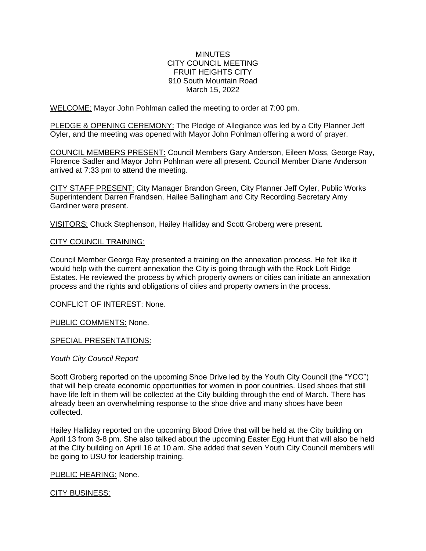## **MINUTES** CITY COUNCIL MEETING FRUIT HEIGHTS CITY 910 South Mountain Road March 15, 2022

WELCOME: Mayor John Pohlman called the meeting to order at 7:00 pm.

PLEDGE & OPENING CEREMONY: The Pledge of Allegiance was led by a City Planner Jeff Oyler, and the meeting was opened with Mayor John Pohlman offering a word of prayer.

COUNCIL MEMBERS PRESENT: Council Members Gary Anderson, Eileen Moss, George Ray, Florence Sadler and Mayor John Pohlman were all present. Council Member Diane Anderson arrived at 7:33 pm to attend the meeting.

CITY STAFF PRESENT: City Manager Brandon Green, City Planner Jeff Oyler, Public Works Superintendent Darren Frandsen, Hailee Ballingham and City Recording Secretary Amy Gardiner were present.

VISITORS: Chuck Stephenson, Hailey Halliday and Scott Groberg were present.

## CITY COUNCIL TRAINING:

Council Member George Ray presented a training on the annexation process. He felt like it would help with the current annexation the City is going through with the Rock Loft Ridge Estates. He reviewed the process by which property owners or cities can initiate an annexation process and the rights and obligations of cities and property owners in the process.

CONFLICT OF INTEREST: None.

PUBLIC COMMENTS: None.

## SPECIAL PRESENTATIONS:

## *Youth City Council Report*

Scott Groberg reported on the upcoming Shoe Drive led by the Youth City Council (the "YCC") that will help create economic opportunities for women in poor countries. Used shoes that still have life left in them will be collected at the City building through the end of March. There has already been an overwhelming response to the shoe drive and many shoes have been collected.

Hailey Halliday reported on the upcoming Blood Drive that will be held at the City building on April 13 from 3-8 pm. She also talked about the upcoming Easter Egg Hunt that will also be held at the City building on April 16 at 10 am. She added that seven Youth City Council members will be going to USU for leadership training.

PUBLIC HEARING: None.

## **CITY BUSINESS:**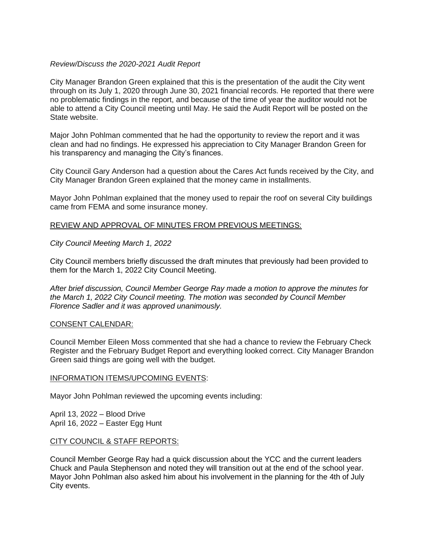## *Review/Discuss the 2020-2021 Audit Report*

City Manager Brandon Green explained that this is the presentation of the audit the City went through on its July 1, 2020 through June 30, 2021 financial records. He reported that there were no problematic findings in the report, and because of the time of year the auditor would not be able to attend a City Council meeting until May. He said the Audit Report will be posted on the State website.

Major John Pohlman commented that he had the opportunity to review the report and it was clean and had no findings. He expressed his appreciation to City Manager Brandon Green for his transparency and managing the City's finances.

City Council Gary Anderson had a question about the Cares Act funds received by the City, and City Manager Brandon Green explained that the money came in installments.

Mayor John Pohlman explained that the money used to repair the roof on several City buildings came from FEMA and some insurance money.

## REVIEW AND APPROVAL OF MINUTES FROM PREVIOUS MEETINGS:

*City Council Meeting March 1, 2022*

City Council members briefly discussed the draft minutes that previously had been provided to them for the March 1, 2022 City Council Meeting.

*After brief discussion, Council Member George Ray made a motion to approve the minutes for the March 1, 2022 City Council meeting. The motion was seconded by Council Member Florence Sadler and it was approved unanimously.*

## CONSENT CALENDAR:

Council Member Eileen Moss commented that she had a chance to review the February Check Register and the February Budget Report and everything looked correct. City Manager Brandon Green said things are going well with the budget.

## INFORMATION ITEMS/UPCOMING EVENTS:

Mayor John Pohlman reviewed the upcoming events including:

April 13, 2022 – Blood Drive April 16, 2022 – Easter Egg Hunt

## CITY COUNCIL & STAFF REPORTS:

Council Member George Ray had a quick discussion about the YCC and the current leaders Chuck and Paula Stephenson and noted they will transition out at the end of the school year. Mayor John Pohlman also asked him about his involvement in the planning for the 4th of July City events.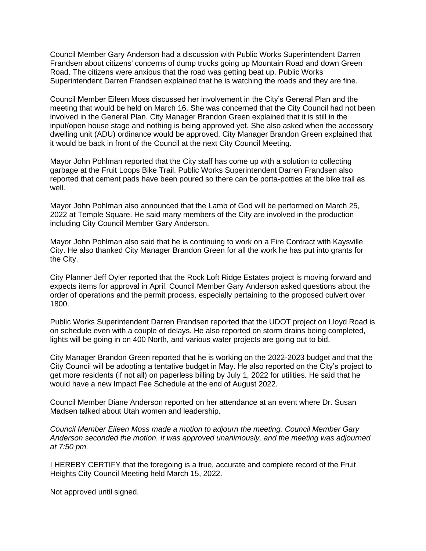Council Member Gary Anderson had a discussion with Public Works Superintendent Darren Frandsen about citizens' concerns of dump trucks going up Mountain Road and down Green Road. The citizens were anxious that the road was getting beat up. Public Works Superintendent Darren Frandsen explained that he is watching the roads and they are fine.

Council Member Eileen Moss discussed her involvement in the City's General Plan and the meeting that would be held on March 16. She was concerned that the City Council had not been involved in the General Plan. City Manager Brandon Green explained that it is still in the input/open house stage and nothing is being approved yet. She also asked when the accessory dwelling unit (ADU) ordinance would be approved. City Manager Brandon Green explained that it would be back in front of the Council at the next City Council Meeting.

Mayor John Pohlman reported that the City staff has come up with a solution to collecting garbage at the Fruit Loops Bike Trail. Public Works Superintendent Darren Frandsen also reported that cement pads have been poured so there can be porta-potties at the bike trail as well.

Mayor John Pohlman also announced that the Lamb of God will be performed on March 25, 2022 at Temple Square. He said many members of the City are involved in the production including City Council Member Gary Anderson.

Mayor John Pohlman also said that he is continuing to work on a Fire Contract with Kaysville City. He also thanked City Manager Brandon Green for all the work he has put into grants for the City.

City Planner Jeff Oyler reported that the Rock Loft Ridge Estates project is moving forward and expects items for approval in April. Council Member Gary Anderson asked questions about the order of operations and the permit process, especially pertaining to the proposed culvert over 1800.

Public Works Superintendent Darren Frandsen reported that the UDOT project on Lloyd Road is on schedule even with a couple of delays. He also reported on storm drains being completed, lights will be going in on 400 North, and various water projects are going out to bid.

City Manager Brandon Green reported that he is working on the 2022-2023 budget and that the City Council will be adopting a tentative budget in May. He also reported on the City's project to get more residents (if not all) on paperless billing by July 1, 2022 for utilities. He said that he would have a new Impact Fee Schedule at the end of August 2022.

Council Member Diane Anderson reported on her attendance at an event where Dr. Susan Madsen talked about Utah women and leadership.

*Council Member Eileen Moss made a motion to adjourn the meeting. Council Member Gary Anderson seconded the motion. It was approved unanimously, and the meeting was adjourned at 7:50 pm.*

I HEREBY CERTIFY that the foregoing is a true, accurate and complete record of the Fruit Heights City Council Meeting held March 15, 2022.

Not approved until signed.